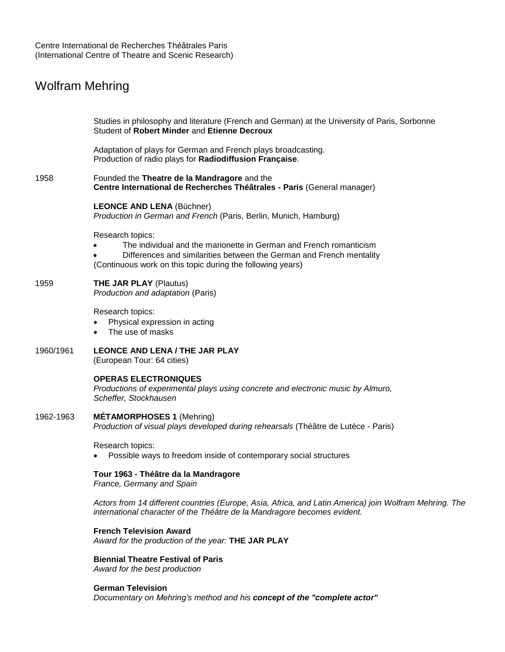# Wolfram Mehring

|           | Studies in philosophy and literature (French and German) at the University of Paris, Sorbonne<br>Student of Robert Minder and Etienne Decroux                                                                                |
|-----------|------------------------------------------------------------------------------------------------------------------------------------------------------------------------------------------------------------------------------|
|           | Adaptation of plays for German and French plays broadcasting.<br>Production of radio plays for Radiodiffusion Française.                                                                                                     |
| 1958      | Founded the Theatre de la Mandragore and the<br>Centre International de Recherches Théâtrales - Paris (General manager)                                                                                                      |
|           | <b>LEONCE AND LENA (Büchner)</b><br>Production in German and French (Paris, Berlin, Munich, Hamburg)                                                                                                                         |
|           | Research topics:<br>The individual and the marionette in German and French romanticism<br>Differences and similarities between the German and French mentality<br>(Continuous work on this topic during the following years) |
| 1959      | <b>THE JAR PLAY (Plautus)</b><br>Production and adaptation (Paris)                                                                                                                                                           |
|           | Research topics:<br>Physical expression in acting<br>$\bullet$<br>• The use of masks                                                                                                                                         |
| 1960/1961 | <b>LEONCE AND LENA / THE JAR PLAY</b><br>(European Tour: 64 cities)                                                                                                                                                          |
|           | <b>OPERAS ELECTRONIQUES</b><br>Productions of experimental plays using concrete and electronic music by Almuro,<br>Scheffer, Stockhausen                                                                                     |
| 1962-1963 | <b>MÉTAMORPHOSES 1 (Mehring)</b><br>Production of visual plays developed during rehearsals (Théâtre de Lutèce - Paris)                                                                                                       |
|           | Research topics:<br>Possible ways to freedom inside of contemporary social structures                                                                                                                                        |
|           | Tour 1963 - Théâtre da la Mandragore<br>France, Germany and Spain                                                                                                                                                            |
|           | Actors from 14 different countries (Europe, Asia, Africa, and Latin America) join Wolfram Mehring. The<br>international character of the Théâtre de la Mandragore becomes evident.                                           |
|           | <b>French Television Award</b><br>Award for the production of the year: THE JAR PLAY                                                                                                                                         |
|           | <b>Biennial Theatre Festival of Paris</b><br>Award for the best production                                                                                                                                                   |
|           | <b>German Television</b><br>Documentary on Mehring's method and his concept of the "complete actor"                                                                                                                          |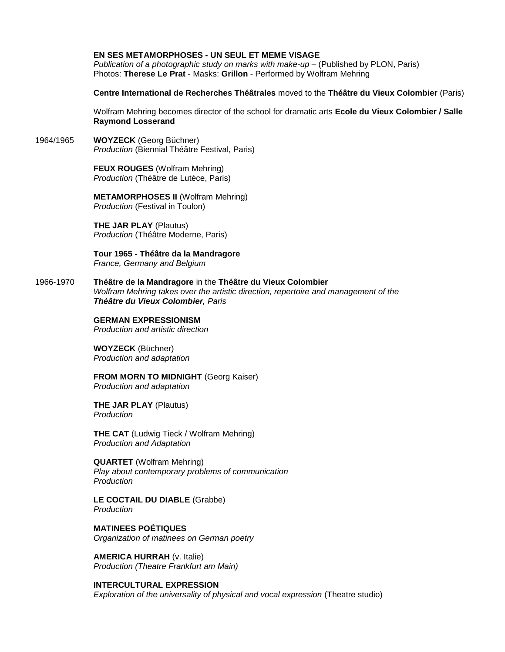#### **EN SES METAMORPHOSES - UN SEUL ET MEME VISAGE**

*Publication of a photographic study on marks with make-up –* (Published by PLON, Paris) Photos: **Therese Le Prat** - Masks: **Grillon** - Performed by Wolfram Mehring

**Centre International de Recherches Théâtrales** moved to the **Théâtre du Vieux Colombier** (Paris)

Wolfram Mehring becomes director of the school for dramatic arts **Ecole du Vieux Colombier / Salle Raymond Losserand**

1964/1965 **WOYZECK** (Georg Büchner) *Production* (Biennial Théâtre Festival, Paris)

> **FEUX ROUGES** (Wolfram Mehring) *Production* (Théâtre de Lutèce, Paris)

**METAMORPHOSES II** (Wolfram Mehring) *Production* (Festival in Toulon)

**THE JAR PLAY** (Plautus) *Production* (Théâtre Moderne, Paris)

**Tour 1965 - Théâtre da la Mandragore** *France, Germany and Belgium*

1966-1970 **Théâtre de la Mandragore** in the **Théâtre du Vieux Colombier** *Wolfram Mehring takes over the artistic direction, repertoire and management of the Théâtre du Vieux Colombier, Paris*

#### **GERMAN EXPRESSIONISM** *Production and artistic direction*

**WOYZECK** (Büchner) *Production and adaptation*

**FROM MORN TO MIDNIGHT** (Georg Kaiser) *Production and adaptation*

**THE JAR PLAY** (Plautus) *Production*

**THE CAT** (Ludwig Tieck / Wolfram Mehring) *Production and Adaptation*

**QUARTET** (Wolfram Mehring) *Play about contemporary problems of communication Production*

**LE COCTAIL DU DIABLE** (Grabbe) *Production*

**MATINEES POÉTIQUES** *Organization of matinees on German poetry*

**AMERICA HURRAH** (v. Italie) *Production (Theatre Frankfurt am Main)*

**INTERCULTURAL EXPRESSION**  *Exploration of the universality of physical and vocal expression* (Theatre studio)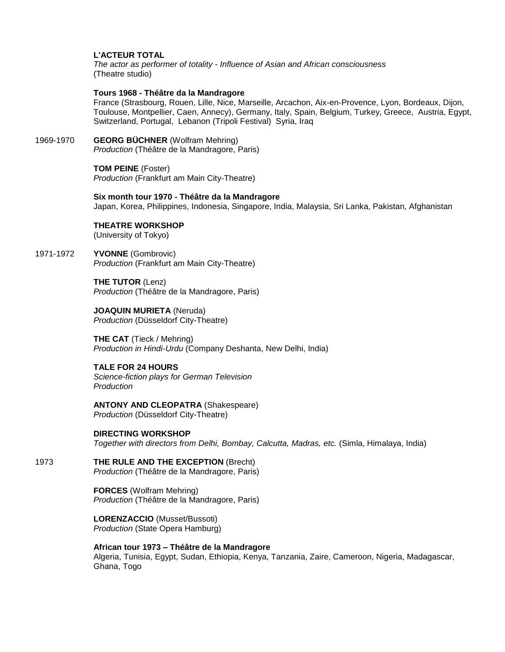#### **L'ACTEUR TOTAL**

*The actor as performer of totality - Influence of Asian and African consciousness* (Theatre studio)

#### **Tours 1968 - Théâtre da la Mandragore**

France (Strasbourg, Rouen, Lille, Nice, Marseille, Arcachon, Aix-en-Provence, Lyon, Bordeaux, Dijon, Toulouse, Montpellier, Caen, Annecy), Germany, Italy, Spain, Belgium, Turkey, Greece, Austria, Egypt, Switzerland, Portugal, Lebanon (Tripoli Festival) Syria, Iraq

1969-1970 **GEORG BÜCHNER** (Wolfram Mehring) *Production* (Théâtre de la Mandragore, Paris)

#### **TOM PEINE** (Foster)

*Production* (Frankfurt am Main City-Theatre)

#### **Six month tour 1970 - Théâtre da la Mandragore**

Japan, Korea, Philippines, Indonesia, Singapore, India, Malaysia, Sri Lanka, Pakistan, Afghanistan

#### **THEATRE WORKSHOP**

(University of Tokyo)

1971-1972 **YVONNE** (Gombrovic) *Production* (Frankfurt am Main City-Theatre)

> **THE TUTOR** (Lenz) *Production* (Théâtre de la Mandragore, Paris)

**JOAQUIN MURIETA** (Neruda) *Production* (Düsseldorf City-Theatre)

**THE CAT** (Tieck / Mehring) *Production in Hindi-Urdu* (Company Deshanta, New Delhi, India)

**TALE FOR 24 HOURS** *Science-fiction plays for German Television Production*

**ANTONY AND CLEOPATRA** (Shakespeare) *Production* (Düsseldorf City-Theatre)

**DIRECTING WORKSHOP**  *Together with directors from Delhi, Bombay, Calcutta, Madras, etc.* (Simla, Himalaya, India)

1973 **THE RULE AND THE EXCEPTION** (Brecht) *Production* (Théâtre de la Mandragore, Paris)

> **FORCES** (Wolfram Mehring) *Production* (Théâtre de la Mandragore, Paris)

**LORENZACCIO** (Musset/Bussoti) *Production* (State Opera Hamburg)

**African tour 1973 – Théâtre de la Mandragore** Algeria, Tunisia, Egypt, Sudan, Ethiopia, Kenya, Tanzania, Zaire, Cameroon, Nigeria, Madagascar, Ghana, Togo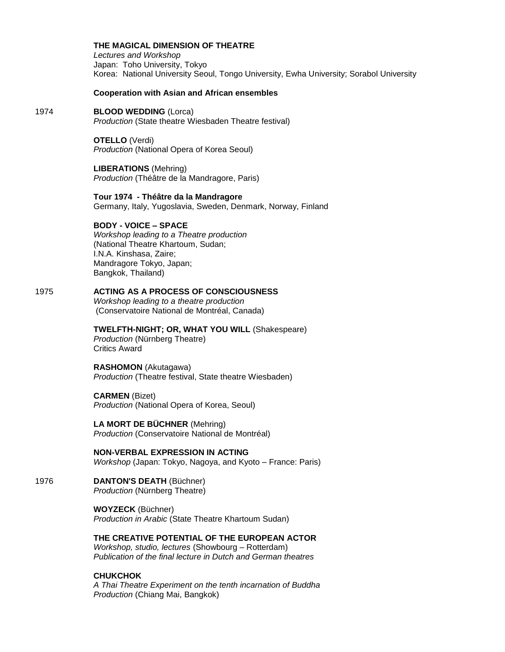#### **THE MAGICAL DIMENSION OF THEATRE**

*Lectures and Workshop* Japan: Toho University, Tokyo Korea: National University Seoul, Tongo University, Ewha University; Sorabol University

#### **Cooperation with Asian and African ensembles**

#### 1974 **BLOOD WEDDING** (Lorca)

*Production* (State theatre Wiesbaden Theatre festival)

**OTELLO** (Verdi) *Production* (National Opera of Korea Seoul)

**LIBERATIONS** (Mehring) *Production* (Théâtre de la Mandragore, Paris)

**Tour 1974 - Théâtre da la Mandragore** Germany, Italy, Yugoslavia, Sweden, Denmark, Norway, Finland

#### **BODY - VOICE – SPACE**

*Workshop leading to a Theatre production*  (National Theatre Khartoum, Sudan; I.N.A. Kinshasa, Zaire; Mandragore Tokyo, Japan; Bangkok, Thailand)

#### 1975 **ACTING AS A PROCESS OF CONSCIOUSNESS**

*Workshop leading to a theatre production*  (Conservatoire National de Montréal, Canada)

#### **TWELFTH-NIGHT; OR, WHAT YOU WILL** (Shakespeare)

*Production* (Nürnberg Theatre) Critics Award

#### **RASHOMON** (Akutagawa)

*Production* (Theatre festival, State theatre Wiesbaden)

**CARMEN** (Bizet) *Production* (National Opera of Korea, Seoul)

**LA MORT DE BÜCHNER** (Mehring) *Production* (Conservatoire National de Montréal)

#### **NON-VERBAL EXPRESSION IN ACTING**

*Workshop* (Japan: Tokyo, Nagoya, and Kyoto – France: Paris)

## 1976 **DANTON'S DEATH** (Büchner)

*Production* (Nürnberg Theatre)

**WOYZECK** (Büchner) *Production in Arabic* (State Theatre Khartoum Sudan)

### **THE CREATIVE POTENTIAL OF THE EUROPEAN ACTOR**

*Workshop, studio, lectures* (Showbourg – Rotterdam) *Publication of the final lecture in Dutch and German theatres*

#### **CHUKCHOK**

*A Thai Theatre Experiment on the tenth incarnation of Buddha Production* (Chiang Mai, Bangkok)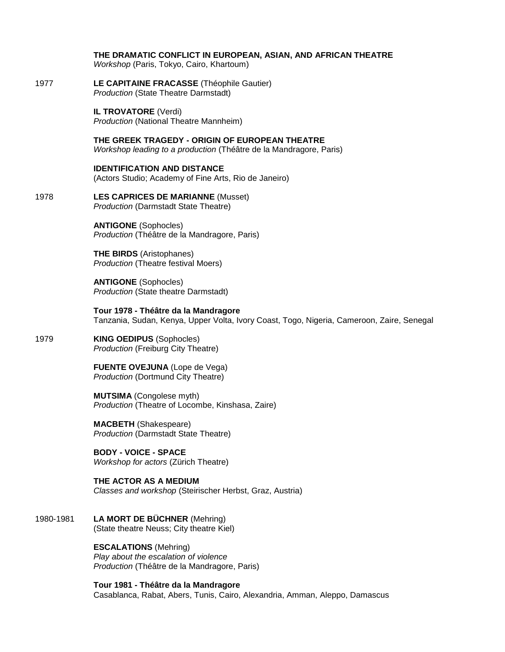|           | THE DRAMATIC CONFLICT IN EUROPEAN, ASIAN, AND AFRICAN THEATRE<br>Workshop (Paris, Tokyo, Cairo, Khartoum)                         |
|-----------|-----------------------------------------------------------------------------------------------------------------------------------|
| 1977      | LE CAPITAINE FRACASSE (Théophile Gautier)<br><b>Production (State Theatre Darmstadt)</b>                                          |
|           | <b>IL TROVATORE (Verdi)</b><br><b>Production (National Theatre Mannheim)</b>                                                      |
|           | THE GREEK TRAGEDY - ORIGIN OF EUROPEAN THEATRE<br>Workshop leading to a production (Théâtre de la Mandragore, Paris)              |
|           | <b>IDENTIFICATION AND DISTANCE</b><br>(Actors Studio; Academy of Fine Arts, Rio de Janeiro)                                       |
| 1978      | <b>LES CAPRICES DE MARIANNE (Musset)</b><br><b>Production (Darmstadt State Theatre)</b>                                           |
|           | <b>ANTIGONE</b> (Sophocles)<br>Production (Théâtre de la Mandragore, Paris)                                                       |
|           | <b>THE BIRDS (Aristophanes)</b><br><b>Production (Theatre festival Moers)</b>                                                     |
|           | <b>ANTIGONE</b> (Sophocles)<br><b>Production (State theatre Darmstadt)</b>                                                        |
|           | Tour 1978 - Théâtre da la Mandragore<br>Tanzania, Sudan, Kenya, Upper Volta, Ivory Coast, Togo, Nigeria, Cameroon, Zaire, Senegal |
| 1979      | <b>KING OEDIPUS (Sophocles)</b><br><b>Production (Freiburg City Theatre)</b>                                                      |
|           | <b>FUENTE OVEJUNA (Lope de Vega)</b><br><b>Production (Dortmund City Theatre)</b>                                                 |
|           | <b>MUTSIMA</b> (Congolese myth)<br>Production (Theatre of Locombe, Kinshasa, Zaire)                                               |
|           | <b>MACBETH</b> (Shakespeare)<br><b>Production (Darmstadt State Theatre)</b>                                                       |
|           | <b>BODY - VOICE - SPACE</b><br>Workshop for actors (Zürich Theatre)                                                               |
|           | THE ACTOR AS A MEDIUM<br>Classes and workshop (Steirischer Herbst, Graz, Austria)                                                 |
| 1980-1981 | LA MORT DE BÜCHNER (Mehring)<br>(State theatre Neuss; City theatre Kiel)                                                          |
|           | <b>ESCALATIONS (Mehring)</b><br>Play about the escalation of violence<br>Production (Théâtre de la Mandragore, Paris)             |
|           | Tour 1981 - Théâtre da la Mandragore<br>Casablanca, Rabat, Abers, Tunis, Cairo, Alexandria, Amman, Aleppo, Damascus               |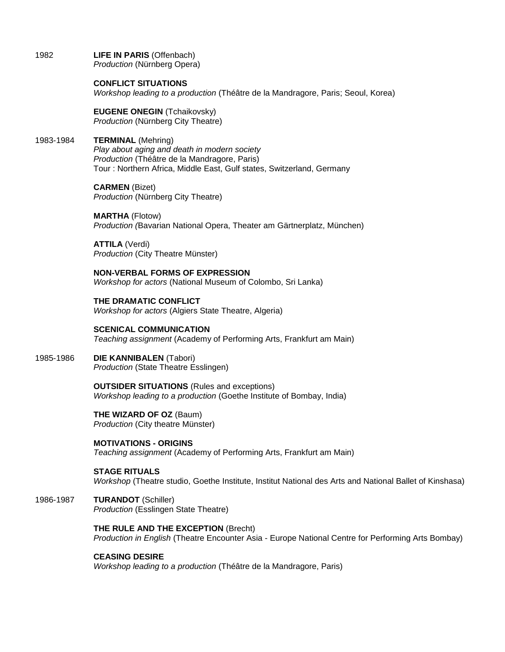1982 **LIFE IN PARIS** (Offenbach) *Production* (Nürnberg Opera)

> **CONFLICT SITUATIONS** *Workshop leading to a production* (Théâtre de la Mandragore, Paris; Seoul, Korea)

**EUGENE ONEGIN** (Tchaikovsky) *Production* (Nürnberg City Theatre)

1983-1984 **TERMINAL** (Mehring) *Play about aging and death in modern society Production* (Théâtre de la Mandragore, Paris) Tour : Northern Africa, Middle East, Gulf states, Switzerland, Germany

> **CARMEN** (Bizet) *Production* (Nürnberg City Theatre)

**MARTHA** (Flotow) *Production (*Bavarian National Opera, Theater am Gärtnerplatz, München)

**ATTILA** (Verdi) *Production* (City Theatre Münster)

**NON-VERBAL FORMS OF EXPRESSION** *Workshop for actors* (National Museum of Colombo, Sri Lanka)

**THE DRAMATIC CONFLICT**  *Workshop for actors* (Algiers State Theatre, Algeria)

**SCENICAL COMMUNICATION** *Teaching assignment* (Academy of Performing Arts, Frankfurt am Main)

1985-1986 **DIE KANNIBALEN** (Tabori) *Production* (State Theatre Esslingen)

> **OUTSIDER SITUATIONS** (Rules and exceptions) *Workshop leading to a production* (Goethe Institute of Bombay, India)

**THE WIZARD OF OZ** (Baum) *Production* (City theatre Münster)

**MOTIVATIONS - ORIGINS** *Teaching assignment* (Academy of Performing Arts, Frankfurt am Main)

**STAGE RITUALS** 

*Workshop* (Theatre studio, Goethe Institute, Institut National des Arts and National Ballet of Kinshasa)

1986-1987 **TURANDOT** (Schiller) *Production* (Esslingen State Theatre)

> **THE RULE AND THE EXCEPTION** (Brecht) *Production in English* (Theatre Encounter Asia - Europe National Centre for Performing Arts Bombay)

#### **CEASING DESIRE**

*Workshop leading to a production* (Théâtre de la Mandragore, Paris)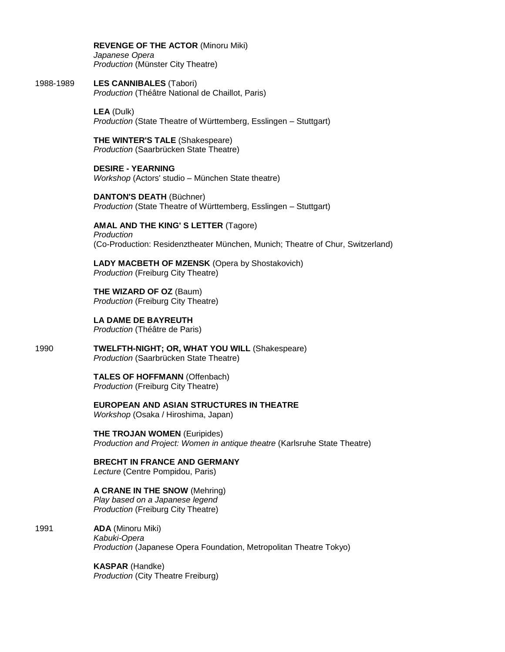**REVENGE OF THE ACTOR** (Minoru Miki)

*Japanese Opera Production* (Münster City Theatre)

1988-1989 **LES CANNIBALES** (Tabori) *Production* (Théâtre National de Chaillot, Paris)

> **LEA** (Dulk) *Production* (State Theatre of Württemberg, Esslingen – Stuttgart)

**THE WINTER'S TALE** (Shakespeare) *Production* (Saarbrücken State Theatre)

**DESIRE - YEARNING** *Workshop* (Actors' studio – München State theatre)

**DANTON'S DEATH** (Büchner) *Production* (State Theatre of Württemberg, Esslingen – Stuttgart)

**AMAL AND THE KING' S LETTER** (Tagore) *Production* (Co-Production: Residenztheater München, Munich; Theatre of Chur, Switzerland)

**LADY MACBETH OF MZENSK** (Opera by Shostakovich) *Production* (Freiburg City Theatre)

**THE WIZARD OF OZ** (Baum) *Production* (Freiburg City Theatre)

**LA DAME DE BAYREUTH** *Production* (Théâtre de Paris)

1990 **TWELFTH-NIGHT; OR, WHAT YOU WILL** (Shakespeare) *Production* (Saarbrücken State Theatre)

> **TALES OF HOFFMANN** (Offenbach) *Production* (Freiburg City Theatre)

**EUROPEAN AND ASIAN STRUCTURES IN THEATRE** *Workshop* (Osaka / Hiroshima, Japan)

**THE TROJAN WOMEN** (Euripides) *Production and Project: Women in antique theatre* (Karlsruhe State Theatre)

**BRECHT IN FRANCE AND GERMANY** *Lecture* (Centre Pompidou, Paris)

**A CRANE IN THE SNOW** (Mehring) *Play based on a Japanese legend Production* (Freiburg City Theatre)

1991 **ADA** (Minoru Miki) *Kabuki-Opera Production* (Japanese Opera Foundation, Metropolitan Theatre Tokyo)

> **KASPAR** (Handke) *Production (City Theatre Freiburg)*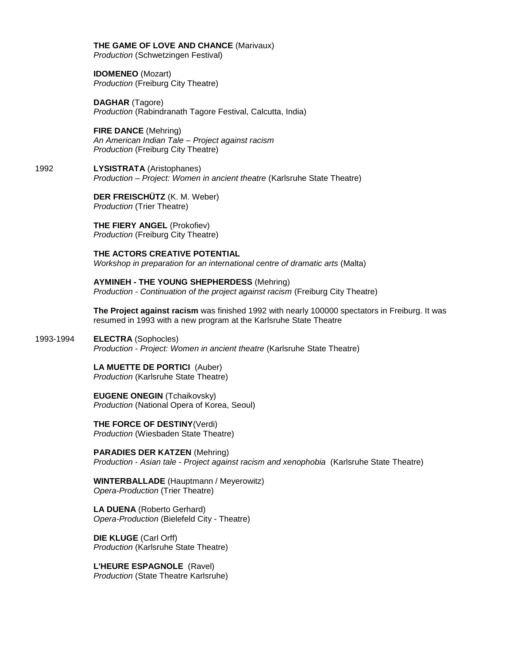**THE GAME OF LOVE AND CHANCE** (Marivaux)

*Production* (Schwetzingen Festival)

**IDOMENEO** (Mozart) *Production* (Freiburg City Theatre)

**DAGHAR** (Tagore) *Production* (Rabindranath Tagore Festival, Calcutta, India)

**FIRE DANCE** (Mehring) *An American Indian Tale – Project against racism Production* (Freiburg City Theatre)

1992 **LYSISTRATA** (Aristophanes) *Production* – *Project: Women in ancient theatre* (Karlsruhe State Theatre)

> **DER FREISCHÜTZ** (K. M. Weber) *Production* (Trier Theatre)

> **THE FIERY ANGEL** (Prokofiev) *Production* (Freiburg City Theatre)

#### **THE ACTORS CREATIVE POTENTIAL**

*Workshop in preparation for an international centre of dramatic arts* (Malta)

**AYMINEH - THE YOUNG SHEPHERDESS** (Mehring) *Production - Continuation of the project against racism* (Freiburg City Theatre)

**The Project against racism** was finished 1992 with nearly 100000 spectators in Freiburg. It was resumed in 1993 with a new program at the Karlsruhe State Theatre

1993-1994 **ELECTRA** (Sophocles) *Production* - *Project: Women in ancient theatre* (Karlsruhe State Theatre)

> **LA MUETTE DE PORTICI** (Auber) *Production* (Karlsruhe State Theatre)

**EUGENE ONEGIN** (Tchaikovsky) *Production* (National Opera of Korea, Seoul)

**THE FORCE OF DESTINY**(Verdi) *Production* (Wiesbaden State Theatre)

**PARADIES DER KATZEN** (Mehring) *Production* - *Asian tale* - *Project against racism and xenophobia* (Karlsruhe State Theatre)

**WINTERBALLADE** (Hauptmann / Meyerowitz) *Opera-Production* (Trier Theatre)

**LA DUENA** (Roberto Gerhard) *Opera-Production* (Bielefeld City - Theatre)

**DIE KLUGE** (Carl Orff) *Production* (Karlsruhe State Theatre)

**L'HEURE ESPAGNOLE** (Ravel) *Production* (State Theatre Karlsruhe)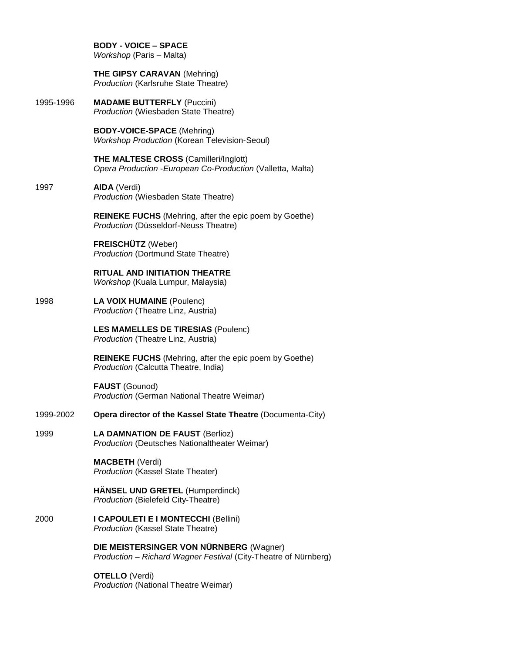|           | <b>BODY - VOICE - SPACE</b><br>Workshop (Paris - Malta)                                                     |
|-----------|-------------------------------------------------------------------------------------------------------------|
|           | <b>THE GIPSY CARAVAN (Mehring)</b><br>Production (Karlsruhe State Theatre)                                  |
| 1995-1996 | <b>MADAME BUTTERFLY (Puccini)</b><br>Production (Wiesbaden State Theatre)                                   |
|           | <b>BODY-VOICE-SPACE (Mehring)</b><br><b>Workshop Production (Korean Television-Seoul)</b>                   |
|           | <b>THE MALTESE CROSS (Camilleri/Inglott)</b><br>Opera Production - European Co-Production (Valletta, Malta) |
| 1997      | <b>AIDA</b> (Verdi)<br>Production (Wiesbaden State Theatre)                                                 |
|           | <b>REINEKE FUCHS</b> (Mehring, after the epic poem by Goethe)<br>Production (Düsseldorf-Neuss Theatre)      |
|           | FREISCHÜTZ (Weber)<br><b>Production (Dortmund State Theatre)</b>                                            |
|           | RITUAL AND INITIATION THEATRE<br>Workshop (Kuala Lumpur, Malaysia)                                          |
| 1998      | <b>LA VOIX HUMAINE (Poulenc)</b><br>Production (Theatre Linz, Austria)                                      |
|           | <b>LES MAMELLES DE TIRESIAS (Poulenc)</b><br>Production (Theatre Linz, Austria)                             |
|           | <b>REINEKE FUCHS</b> (Mehring, after the epic poem by Goethe)<br>Production (Calcutta Theatre, India)       |
|           | FAUST (Gounod)<br>Production (German National Theatre Weimar)                                               |
| 1999-2002 | Opera director of the Kassel State Theatre (Documenta-City)                                                 |
| 1999      | <b>LA DAMNATION DE FAUST (Berlioz)</b><br>Production (Deutsches Nationaltheater Weimar)                     |
|           | <b>MACBETH (Verdi)</b><br>Production (Kassel State Theater)                                                 |
|           | HÄNSEL UND GRETEL (Humperdinck)<br>Production (Bielefeld City-Theatre)                                      |
| 2000      | I CAPOULETI E I MONTECCHI (Bellini)<br>Production (Kassel State Theatre)                                    |
|           | DIE MEISTERSINGER VON NÜRNBERG (Wagner)<br>Production - Richard Wagner Festival (City-Theatre of Nürnberg)  |
|           | <b>OTELLO</b> (Verdi)                                                                                       |

*Production* (National Theatre Weimar)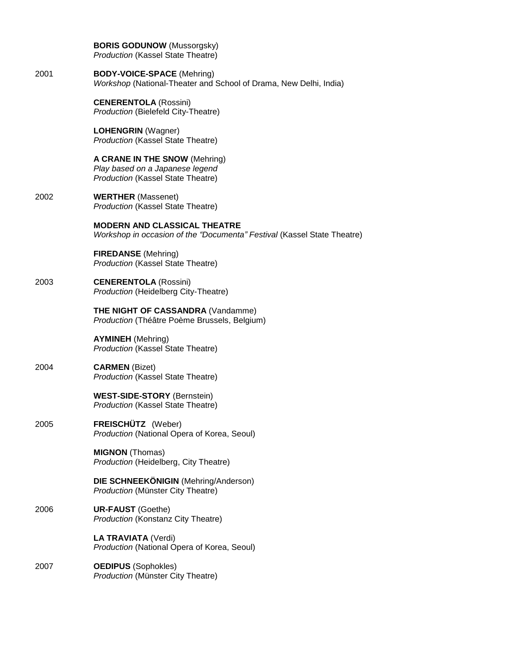| 2001<br><b>BODY-VOICE-SPACE (Mehring)</b><br>Workshop (National-Theater and School of Drama, New Delhi, India)<br><b>CENERENTOLA (Rossini)</b><br>Production (Bielefeld City-Theatre) |  |
|---------------------------------------------------------------------------------------------------------------------------------------------------------------------------------------|--|
|                                                                                                                                                                                       |  |
|                                                                                                                                                                                       |  |
| <b>LOHENGRIN</b> (Wagner)<br><b>Production (Kassel State Theatre)</b>                                                                                                                 |  |
| A CRANE IN THE SNOW (Mehring)<br>Play based on a Japanese legend<br>Production (Kassel State Theatre)                                                                                 |  |
| 2002<br><b>WERTHER</b> (Massenet)<br>Production (Kassel State Theatre)                                                                                                                |  |
| <b>MODERN AND CLASSICAL THEATRE</b><br>Workshop in occasion of the "Documenta" Festival (Kassel State Theatre)                                                                        |  |
| <b>FIREDANSE</b> (Mehring)<br>Production (Kassel State Theatre)                                                                                                                       |  |
| <b>CENERENTOLA (Rossini)</b><br>2003<br>Production (Heidelberg City-Theatre)                                                                                                          |  |
| <b>THE NIGHT OF CASSANDRA (Vandamme)</b><br>Production (Théâtre Poème Brussels, Belgium)                                                                                              |  |
| <b>AYMINEH</b> (Mehring)<br>Production (Kassel State Theatre)                                                                                                                         |  |
| <b>CARMEN</b> (Bizet)<br>2004<br>Production (Kassel State Theatre)                                                                                                                    |  |
| <b>WEST-SIDE-STORY (Bernstein)</b><br><b>Production (Kassel State Theatre)</b>                                                                                                        |  |
| FREISCHÜTZ (Weber)<br>2005<br>Production (National Opera of Korea, Seoul)                                                                                                             |  |
| <b>MIGNON</b> (Thomas)<br>Production (Heidelberg, City Theatre)                                                                                                                       |  |
| DIE SCHNEEKÖNIGIN (Mehring/Anderson)<br>Production (Münster City Theatre)                                                                                                             |  |
| <b>UR-FAUST</b> (Goethe)<br>2006<br><b>Production (Konstanz City Theatre)</b>                                                                                                         |  |
| <b>LA TRAVIATA (Verdi)</b>                                                                                                                                                            |  |
| Production (National Opera of Korea, Seoul)                                                                                                                                           |  |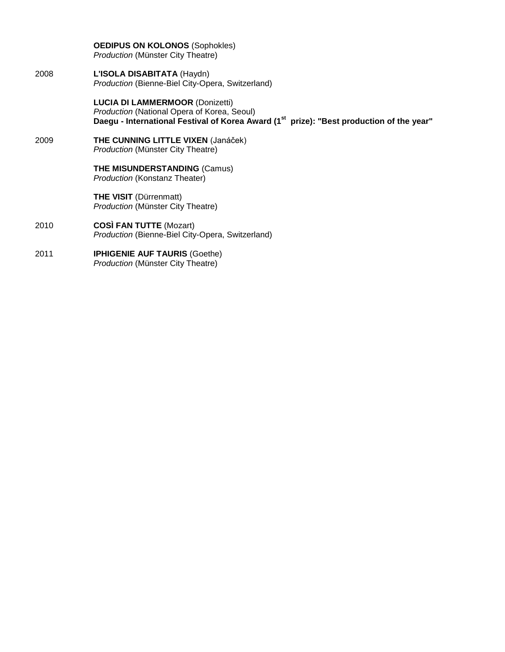|      | <b>OEDIPUS ON KOLONOS (Sophokles)</b><br>Production (Münster City Theatre)                                                                                                                    |
|------|-----------------------------------------------------------------------------------------------------------------------------------------------------------------------------------------------|
| 2008 | L'ISOLA DISABITATA (Haydn)<br>Production (Bienne-Biel City-Opera, Switzerland)                                                                                                                |
|      | <b>LUCIA DI LAMMERMOOR (Donizetti)</b><br>Production (National Opera of Korea, Seoul)<br>Daegu - International Festival of Korea Award (1 <sup>st</sup> prize): "Best production of the year" |
| 2009 | <b>THE CUNNING LITTLE VIXEN (Janáček)</b><br>Production (Münster City Theatre)                                                                                                                |
|      | <b>THE MISUNDERSTANDING (Camus)</b><br>Production (Konstanz Theater)                                                                                                                          |
|      | <b>THE VISIT</b> (Dürrenmatt)<br>Production (Münster City Theatre)                                                                                                                            |
| 2010 | <b>COSÌ FAN TUTTE (Mozart)</b><br>Production (Bienne-Biel City-Opera, Switzerland)                                                                                                            |
| 2011 | <b>IPHIGENIE AUF TAURIS (Goethe)</b>                                                                                                                                                          |

*Production* (Münster City Theatre)